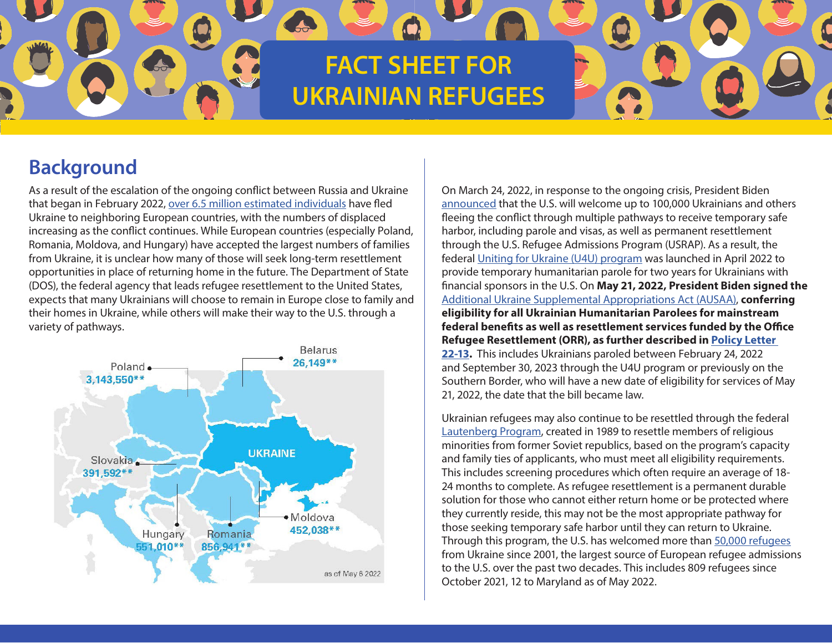# **FACT SHEET FOR UKRAINIAN REFUGEES**

# **Background**

As a result of the escalation of the ongoing conflict between Russia and Ukraine that began in February 2022, over 6.5 [million estimated individuals](https://www.unhcr.org/en-us/ukraine-emergency.html) have fled Ukraine to neighboring European countries, with the numbers of displaced increasing as the conflict continues. While European countries (especially Poland, Romania, Moldova, and Hungary) have accepted the largest numbers of families from Ukraine, it is unclear how many of those will seek long-term resettlement opportunities in place of returning home in the future. The Department of State (DOS), the federal agency that leads refugee resettlement to the United States, expects that many Ukrainians will choose to remain in Europe close to family and their homes in Ukraine, while others will make their way to the U.S. through a variety of pathways.



On March 24, 2022, in response to the ongoing crisis, President Biden [announced](https://www.whitehouse.gov/briefing-room/speeches-remarks/2022/02/22/remarks-by-president-biden-announcing-response-to-russian-actions-in-ukraine/) that the U.S. will welcome up to 100,000 Ukrainians and others fleeing the conflict through multiple pathways to receive temporary safe harbor, including parole and visas, as well as permanent resettlement through the U.S. Refugee Admissions Program (USRAP). As a result, the federal [Uniting for Ukraine](https://www.uscis.gov/humanitarian/uniting-for-ukraine) [\(U4U\) program](https://www.uscis.gov/humanitarian/uniting-for-ukraine) was launched in April 2022 to provide temporary humanitarian parole for two years for Ukrainians with financial sponsors in the U.S. On **May 21, 2022, President Biden signed the** [Additional Ukraine Supplemental Appropriations Act \(AUSAA\),](https://www.congress.gov/bill/117th-congress/house-bill/7691) **conferring eligibility for all Ukrainian Humanitarian Parolees for mainstream federal benefits as well as resettlement services funded by the Office Refugee Resettlement (ORR), as further described in [Policy Letter](https://www.acf.hhs.gov/sites/default/files/documents/orr/PL-22-13-Ukrainian-Humanitarian-Parolees-Eligible-for-ORR-Benefits-and-Services.pdf)  [22-13.](https://www.acf.hhs.gov/sites/default/files/documents/orr/PL-22-13-Ukrainian-Humanitarian-Parolees-Eligible-for-ORR-Benefits-and-Services.pdf)** This includes Ukrainians paroled between February 24, 2022 and September 30, 2023 through the U4U program or previously on the Southern Border, who will have a new date of eligibility for services of May 21, 2022, the date that the bill became law.

Q

Ukrainian refugees may also continue to be resettled through the federal [Lautenberg Program](https://www.uscis.gov/green-card/green-card-eligibility/green-card-for-a-lautenberg-parolee), created in 1989 to resettle members of religious minorities from former Soviet republics, based on the program's capacity and family ties of applicants, who must meet all eligibility requirements. This includes screening procedures which often require an average of 18- 24 months to complete. As refugee resettlement is a permanent durable solution for those who cannot either return home or be protected where they currently reside, this may not be the most appropriate pathway for those seeking temporary safe harbor until they can return to Ukraine. Through this program, the U.S. has welcomed more than [50,000 refugees](https://www.wrapsnet.org/documents/PRM%20Refugee%20Admissions%20Report%20as%2028%20Feb%202022.xlsx) from Ukraine since 2001, the largest source of European refugee admissions to the U.S. over the past two decades. This includes 809 refugees since October 2021, 12 to Maryland as of May 2022.